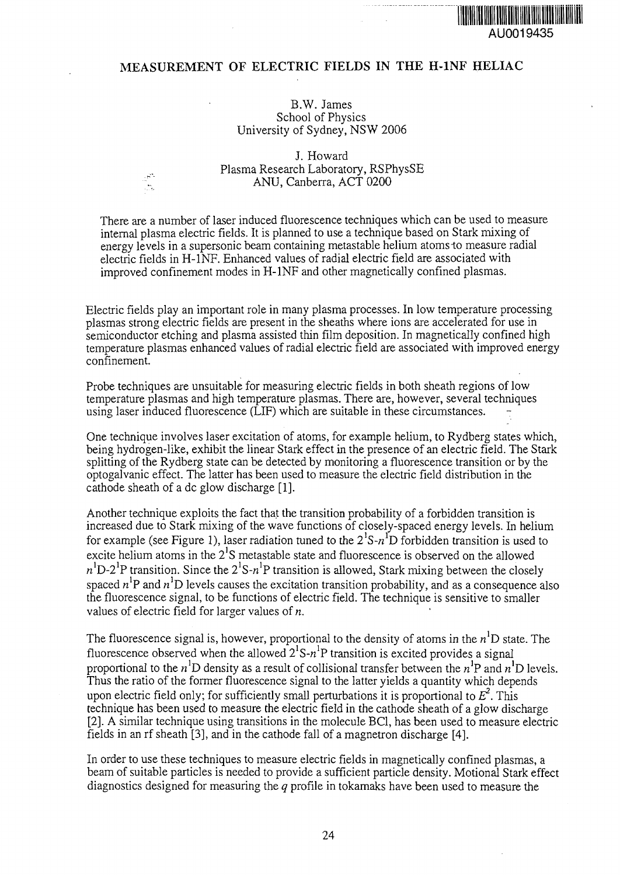## **MEASUREMENT OF ELECTRIC FIELDS IN THE H-1NF HELIAC**

## B.W. James School of Physics University of Sydney, NSW 2006

J. Howard Plasma Research Laboratory, RSPhysSE ANU, Canberra, ACT 0200

There are a number of laser induced fluorescence techniques which can be used to measure internal plasma electric fields. It is planned to use a technique based on Stark mixing of energy levels in a supersonic beam containing metastable helium atoms to measure radial electric fields in H-1NF. Enhanced values of radial electric field are associated with improved confinement modes in H-1NF and other magnetically confined plasmas.

Electric fields play an important role in many plasma processes. In low temperature processing plasmas strong electric fields are present in the sheaths where ions are accelerated for use in semiconductor etching and plasma assisted thin film deposition. In magnetically confined high temperature plasmas enhanced values of radial electric field are associated with improved energy confinement.

Probe techniques are unsuitable for measuring electric fields in both sheath regions of low temperature plasmas and high temperature plasmas. There are, however, several techniques using laser induced fluorescence (LIF) which are suitable in these circumstances.

One technique involves laser excitation of atoms, for example helium, to Rydberg states which, being hydrogen-like, exhibit the linear Stark effect in the presence of an electric field. The Stark splitting of the Rydberg state can be detected by monitoring a fluorescence transition or by the optogalvanic effect. The latter has been used to measure the electric field distribution in the cathode sheath of a dc glow discharge [1].

Another technique exploits the fact that the transition probability of a forbidden transition is increased due to Stark mixing of the wave functions of closely-spaced energy levels. In helium for example (see Figure 1), laser radiation tuned to the  $2^1$ S- $n^1$ D forbidden transition is used to excite helium atoms in the  $2^1S$  metastable state and fluorescence is observed on the allowed  $n<sup>1</sup>D-2<sup>1</sup>P$  transition. Since the  $2<sup>1</sup>S-n<sup>1</sup>P$  transition is allowed, Stark mixing between the closely spaced  $n^1$ P and  $n^1$ D levels causes the excitation transition probability, and as a consequence also the fluorescence signal, to be functions of electric field. The technique is sensitive to smaller values of electric field for larger values of *n.*

The fluorescence signal is, however, proportional to the density of atoms in the  $n<sup>1</sup>D$  state. The fluorescence observed when the allowed  $2^{1}S-n^{1}P$  transition is excited provides a signal proportional to the  $n^{1}D$  density as a result of collisional transfer between the  $n^{1}P$  and  $n^{1}D$  levels. Thus the ratio of the former fluorescence signal to the latter yields a quantity which depends upon electric field only; for sufficiently small perturbations it is proportional to  $E^2$ . This technique has been used to measure the electric field in the cathode sheath of a glow discharge [2]. A similar technique using transitions in the molecule BC1, has been used to measure electric fields in an rf sheath [3], and in the cathode fall of a magnetron discharge [4].

In order to use these techniques to measure electric fields in magnetically confined plasmas, a beam of suitable particles is needed to provide a sufficient particle density. Motional Stark effect diagnostics designed for measuring the *q* profile in tokamaks have been used to measure the